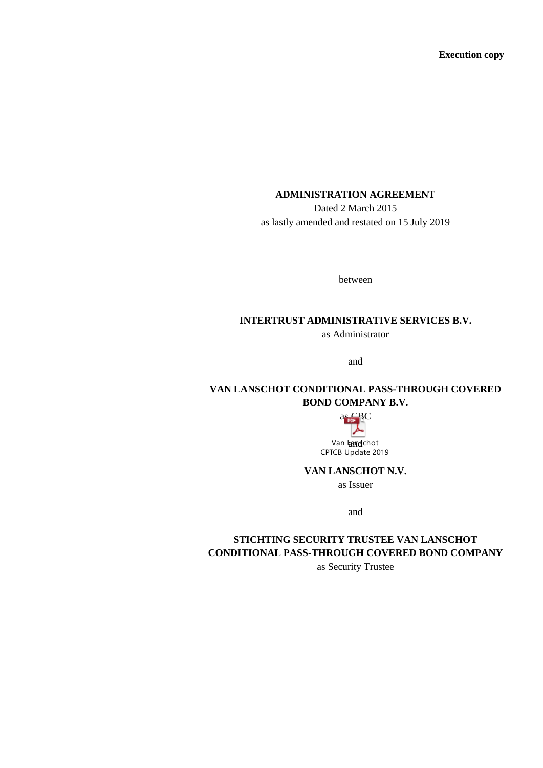**Execution copy**

# **ADMINISTRATION AGREEMENT**

Dated 2 March 2015 as lastly amended and restated on 15 July 2019

between

#### **INTERTRUST ADMINISTRATIVE SERVICES B.V.**

as Administrator

and

# **VAN LANSCHOT CONDITIONAL PASS-THROUGH COVERED BOND COMPANY B.V.**



Van kandchot - Deed of American CPTCB Update 2019 - Deed of American Signature Pages.<br>CPTCB Update 2019

**VAN LANSCHOT N.V.**

as Issuer

and

# **STICHTING SECURITY TRUSTEE VAN LANSCHOT CONDITIONAL PASS-THROUGH COVERED BOND COMPANY**

as Security Trustee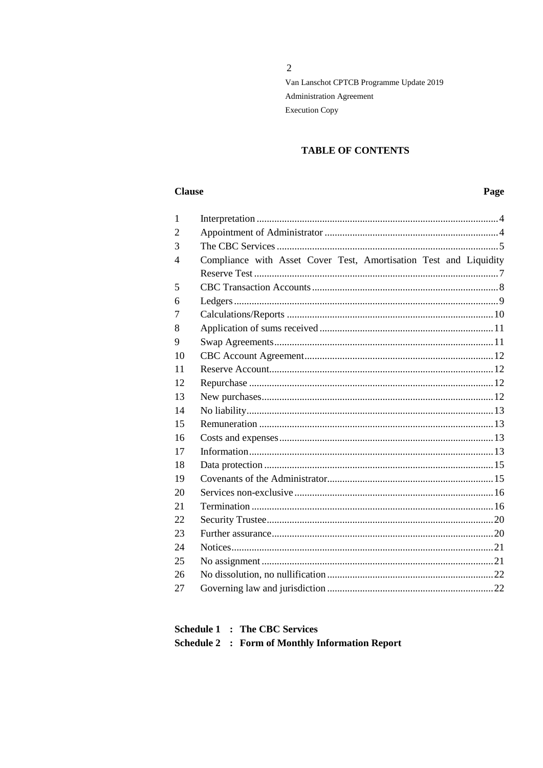$\overline{2}$ 

# **TABLE OF CONTENTS**

# **Clause**

# Page

| 1              |                                                                   |  |
|----------------|-------------------------------------------------------------------|--|
| $\overline{2}$ |                                                                   |  |
| 3              |                                                                   |  |
| $\overline{4}$ | Compliance with Asset Cover Test, Amortisation Test and Liquidity |  |
|                |                                                                   |  |
| 5              |                                                                   |  |
| 6              |                                                                   |  |
| 7              |                                                                   |  |
| 8              |                                                                   |  |
| 9              |                                                                   |  |
| 10             |                                                                   |  |
| 11             |                                                                   |  |
| 12             |                                                                   |  |
| 13             |                                                                   |  |
| 14             |                                                                   |  |
| 15             |                                                                   |  |
| 16             |                                                                   |  |
| 17             |                                                                   |  |
| 18             |                                                                   |  |
| 19             |                                                                   |  |
| 20             |                                                                   |  |
| 21             |                                                                   |  |
| 22             |                                                                   |  |
| 23             |                                                                   |  |
| 24             |                                                                   |  |
| 25             |                                                                   |  |
| 26             |                                                                   |  |
| 27             |                                                                   |  |
|                |                                                                   |  |

|  | <b>Schedule 1 : The CBC Services</b>                   |
|--|--------------------------------------------------------|
|  | <b>Schedule 2 : Form of Monthly Information Report</b> |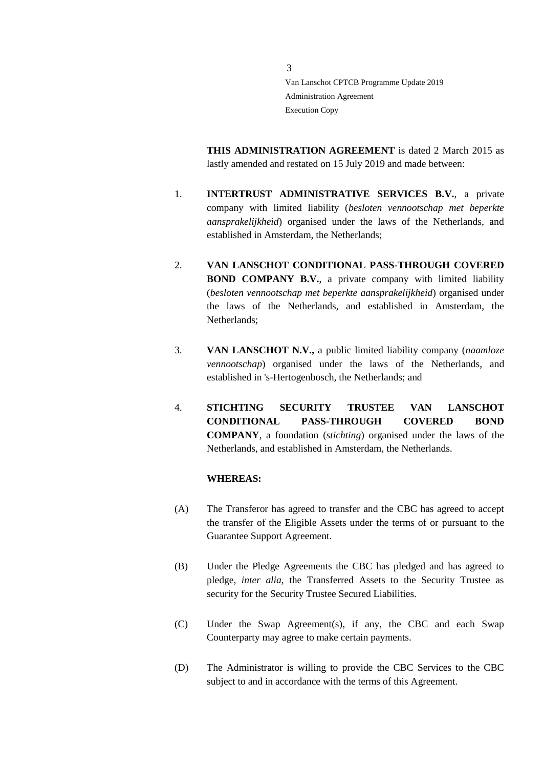**THIS ADMINISTRATION AGREEMENT** is dated 2 March 2015 as lastly amended and restated on 15 July 2019 and made between:

- 1. **INTERTRUST ADMINISTRATIVE SERVICES B.V.**, a private company with limited liability (*besloten vennootschap met beperkte aansprakelijkheid*) organised under the laws of the Netherlands, and established in Amsterdam, the Netherlands;
- 2. **VAN LANSCHOT CONDITIONAL PASS-THROUGH COVERED BOND COMPANY B.V.**, a private company with limited liability (*besloten vennootschap met beperkte aansprakelijkheid*) organised under the laws of the Netherlands, and established in Amsterdam, the Netherlands;
- 3. **VAN LANSCHOT N.V.,** a public limited liability company (*naamloze vennootschap*) organised under the laws of the Netherlands, and established in 's-Hertogenbosch, the Netherlands; and
- 4. **STICHTING SECURITY TRUSTEE VAN LANSCHOT CONDITIONAL PASS-THROUGH COVERED BOND COMPANY**, a foundation (*stichting*) organised under the laws of the Netherlands, and established in Amsterdam, the Netherlands.

#### **WHEREAS:**

- (A) The Transferor has agreed to transfer and the CBC has agreed to accept the transfer of the Eligible Assets under the terms of or pursuant to the Guarantee Support Agreement.
- (B) Under the Pledge Agreements the CBC has pledged and has agreed to pledge, *inter alia*, the Transferred Assets to the Security Trustee as security for the Security Trustee Secured Liabilities.
- (C) Under the Swap Agreement(s), if any, the CBC and each Swap Counterparty may agree to make certain payments.
- (D) The Administrator is willing to provide the CBC Services to the CBC subject to and in accordance with the terms of this Agreement.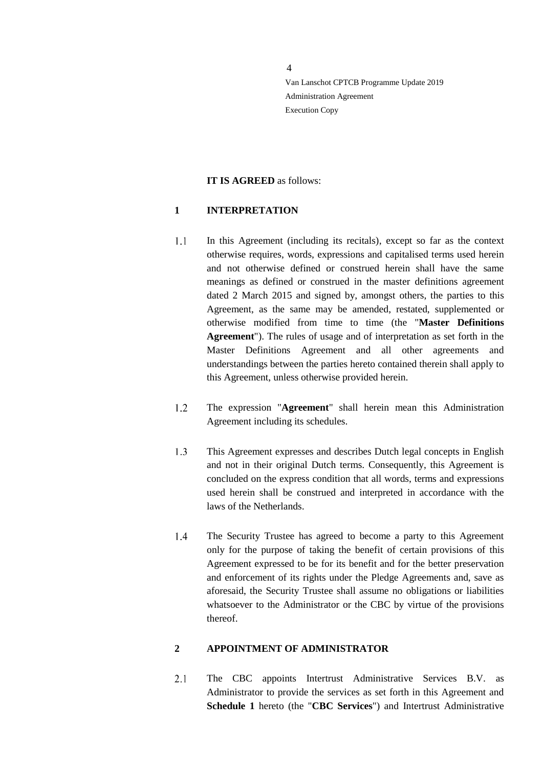#### **IT IS AGREED** as follows:

#### <span id="page-3-0"></span>**1 INTERPRETATION**

- $1.1$ In this Agreement (including its recitals), except so far as the context otherwise requires, words, expressions and capitalised terms used herein and not otherwise defined or construed herein shall have the same meanings as defined or construed in the master definitions agreement dated 2 March 2015 and signed by, amongst others, the parties to this Agreement, as the same may be amended, restated, supplemented or otherwise modified from time to time (the "**Master Definitions Agreement**"). The rules of usage and of interpretation as set forth in the Master Definitions Agreement and all other agreements and understandings between the parties hereto contained therein shall apply to this Agreement, unless otherwise provided herein.
- The expression "**Agreement**" shall herein mean this Administration  $1.2$ Agreement including its schedules.
- $1.3$ This Agreement expresses and describes Dutch legal concepts in English and not in their original Dutch terms. Consequently, this Agreement is concluded on the express condition that all words, terms and expressions used herein shall be construed and interpreted in accordance with the laws of the Netherlands.
- $1.4$ The Security Trustee has agreed to become a party to this Agreement only for the purpose of taking the benefit of certain provisions of this Agreement expressed to be for its benefit and for the better preservation and enforcement of its rights under the Pledge Agreements and, save as aforesaid, the Security Trustee shall assume no obligations or liabilities whatsoever to the Administrator or the CBC by virtue of the provisions thereof.

## <span id="page-3-1"></span>**2 APPOINTMENT OF ADMINISTRATOR**

 $2.1$ The CBC appoints Intertrust Administrative Services B.V. as Administrator to provide the services as set forth in this Agreement and **Schedule 1** hereto (the "**CBC Services**") and Intertrust Administrative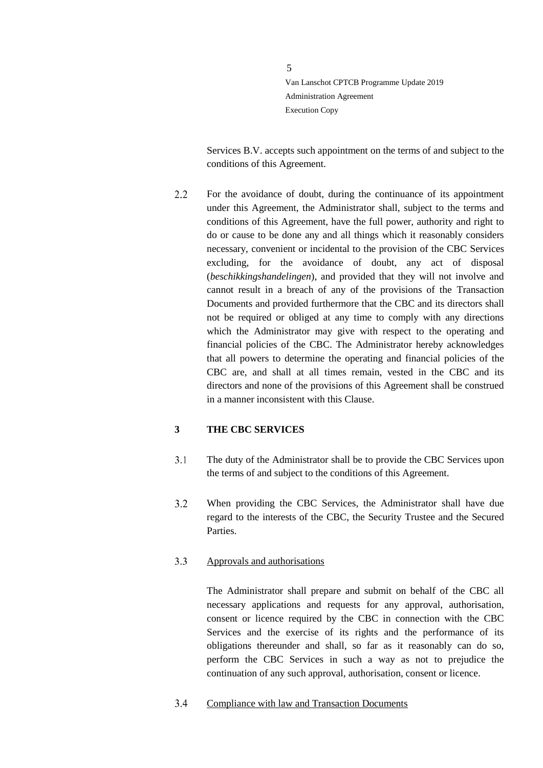Services B.V. accepts such appointment on the terms of and subject to the conditions of this Agreement.

 $2.2$ For the avoidance of doubt, during the continuance of its appointment under this Agreement, the Administrator shall, subject to the terms and conditions of this Agreement, have the full power, authority and right to do or cause to be done any and all things which it reasonably considers necessary, convenient or incidental to the provision of the CBC Services excluding, for the avoidance of doubt, any act of disposal (*beschikkingshandelingen*), and provided that they will not involve and cannot result in a breach of any of the provisions of the Transaction Documents and provided furthermore that the CBC and its directors shall not be required or obliged at any time to comply with any directions which the Administrator may give with respect to the operating and financial policies of the CBC. The Administrator hereby acknowledges that all powers to determine the operating and financial policies of the CBC are, and shall at all times remain, vested in the CBC and its directors and none of the provisions of this Agreement shall be construed in a manner inconsistent with this Clause.

## <span id="page-4-0"></span>**3 THE CBC SERVICES**

- $3.1$ The duty of the Administrator shall be to provide the CBC Services upon the terms of and subject to the conditions of this Agreement.
- $3.2$ When providing the CBC Services, the Administrator shall have due regard to the interests of the CBC, the Security Trustee and the Secured Parties.

#### $3.3$ Approvals and authorisations

The Administrator shall prepare and submit on behalf of the CBC all necessary applications and requests for any approval, authorisation, consent or licence required by the CBC in connection with the CBC Services and the exercise of its rights and the performance of its obligations thereunder and shall, so far as it reasonably can do so, perform the CBC Services in such a way as not to prejudice the continuation of any such approval, authorisation, consent or licence.

<span id="page-4-1"></span> $3.4$ Compliance with law and Transaction Documents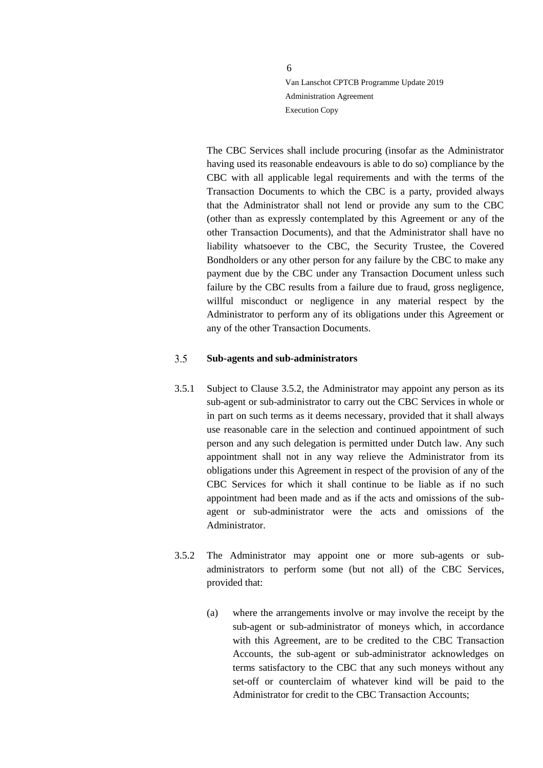The CBC Services shall include procuring (insofar as the Administrator having used its reasonable endeavours is able to do so) compliance by the CBC with all applicable legal requirements and with the terms of the Transaction Documents to which the CBC is a party, provided always that the Administrator shall not lend or provide any sum to the CBC (other than as expressly contemplated by this Agreement or any of the other Transaction Documents), and that the Administrator shall have no liability whatsoever to the CBC, the Security Trustee, the Covered Bondholders or any other person for any failure by the CBC to make any payment due by the CBC under any Transaction Document unless such failure by the CBC results from a failure due to fraud, gross negligence, willful misconduct or negligence in any material respect by the Administrator to perform any of its obligations under this Agreement or any of the other Transaction Documents.

#### $3.5$ **Sub-agents and sub-administrators**

- 3.5.1 Subject to Clause 3.5.2, the Administrator may appoint any person as its sub-agent or sub-administrator to carry out the CBC Services in whole or in part on such terms as it deems necessary, provided that it shall always use reasonable care in the selection and continued appointment of such person and any such delegation is permitted under Dutch law. Any such appointment shall not in any way relieve the Administrator from its obligations under this Agreement in respect of the provision of any of the CBC Services for which it shall continue to be liable as if no such appointment had been made and as if the acts and omissions of the subagent or sub-administrator were the acts and omissions of the Administrator.
- 3.5.2 The Administrator may appoint one or more sub-agents or subadministrators to perform some (but not all) of the CBC Services, provided that:
	- (a) where the arrangements involve or may involve the receipt by the sub-agent or sub-administrator of moneys which, in accordance with this Agreement, are to be credited to the CBC Transaction Accounts, the sub-agent or sub-administrator acknowledges on terms satisfactory to the CBC that any such moneys without any set-off or counterclaim of whatever kind will be paid to the Administrator for credit to the CBC Transaction Accounts;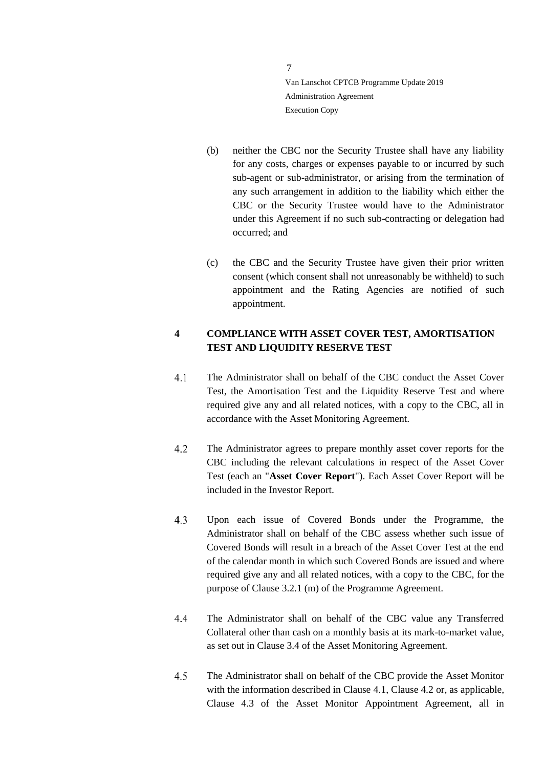- (b) neither the CBC nor the Security Trustee shall have any liability for any costs, charges or expenses payable to or incurred by such sub-agent or sub-administrator, or arising from the termination of any such arrangement in addition to the liability which either the CBC or the Security Trustee would have to the Administrator under this Agreement if no such sub-contracting or delegation had occurred; and
- (c) the CBC and the Security Trustee have given their prior written consent (which consent shall not unreasonably be withheld) to such appointment and the Rating Agencies are notified of such appointment.

# <span id="page-6-0"></span>**4 COMPLIANCE WITH ASSET COVER TEST, AMORTISATION TEST AND LIQUIDITY RESERVE TEST**

- $4.1$ The Administrator shall on behalf of the CBC conduct the Asset Cover Test, the Amortisation Test and the Liquidity Reserve Test and where required give any and all related notices, with a copy to the CBC, all in accordance with the Asset Monitoring Agreement.
- $4.2$ The Administrator agrees to prepare monthly asset cover reports for the CBC including the relevant calculations in respect of the Asset Cover Test (each an "**Asset Cover Report**"). Each Asset Cover Report will be included in the Investor Report.
- $4.3$ Upon each issue of Covered Bonds under the Programme, the Administrator shall on behalf of the CBC assess whether such issue of Covered Bonds will result in a breach of the Asset Cover Test at the end of the calendar month in which such Covered Bonds are issued and where required give any and all related notices, with a copy to the CBC, for the purpose of Clause 3.2.1 (m) of the Programme Agreement.
- $4.4$ The Administrator shall on behalf of the CBC value any Transferred Collateral other than cash on a monthly basis at its mark-to-market value, as set out in Clause 3.4 of the Asset Monitoring Agreement.
- $4.5$ The Administrator shall on behalf of the CBC provide the Asset Monitor with the information described in Clause 4.1, Clause 4.2 or, as applicable, Clause 4.3 of the Asset Monitor Appointment Agreement, all in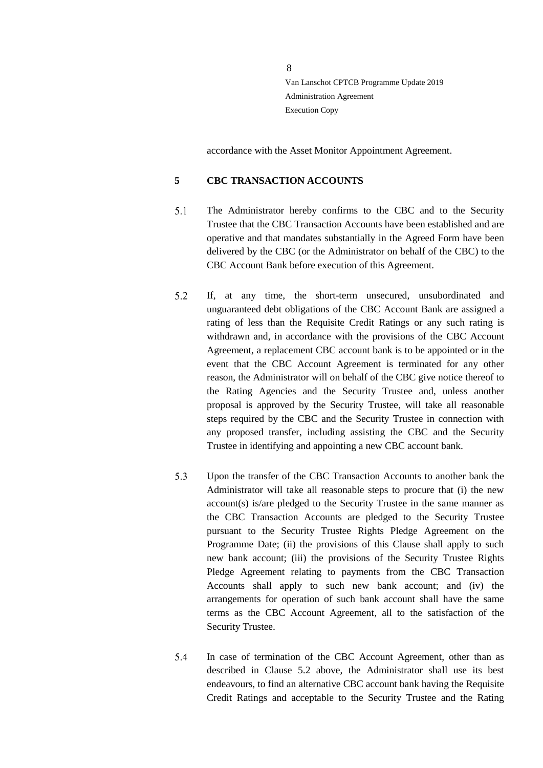accordance with the Asset Monitor Appointment Agreement.

## <span id="page-7-0"></span>**5 CBC TRANSACTION ACCOUNTS**

- $5.1$ The Administrator hereby confirms to the CBC and to the Security Trustee that the CBC Transaction Accounts have been established and are operative and that mandates substantially in the Agreed Form have been delivered by the CBC (or the Administrator on behalf of the CBC) to the CBC Account Bank before execution of this Agreement.
- <span id="page-7-1"></span>5.2 If, at any time, the short-term unsecured, unsubordinated and unguaranteed debt obligations of the CBC Account Bank are assigned a rating of less than the Requisite Credit Ratings or any such rating is withdrawn and, in accordance with the provisions of the CBC Account Agreement, a replacement CBC account bank is to be appointed or in the event that the CBC Account Agreement is terminated for any other reason, the Administrator will on behalf of the CBC give notice thereof to the Rating Agencies and the Security Trustee and, unless another proposal is approved by the Security Trustee, will take all reasonable steps required by the CBC and the Security Trustee in connection with any proposed transfer, including assisting the CBC and the Security Trustee in identifying and appointing a new CBC account bank.
- $5.3$ Upon the transfer of the CBC Transaction Accounts to another bank the Administrator will take all reasonable steps to procure that (i) the new account(s) is/are pledged to the Security Trustee in the same manner as the CBC Transaction Accounts are pledged to the Security Trustee pursuant to the Security Trustee Rights Pledge Agreement on the Programme Date; (ii) the provisions of this Clause shall apply to such new bank account; (iii) the provisions of the Security Trustee Rights Pledge Agreement relating to payments from the CBC Transaction Accounts shall apply to such new bank account; and (iv) the arrangements for operation of such bank account shall have the same terms as the CBC Account Agreement, all to the satisfaction of the Security Trustee.
- $5.4$ In case of termination of the CBC Account Agreement, other than as described in Clause [5.2](#page-7-1) above, the Administrator shall use its best endeavours, to find an alternative CBC account bank having the Requisite Credit Ratings and acceptable to the Security Trustee and the Rating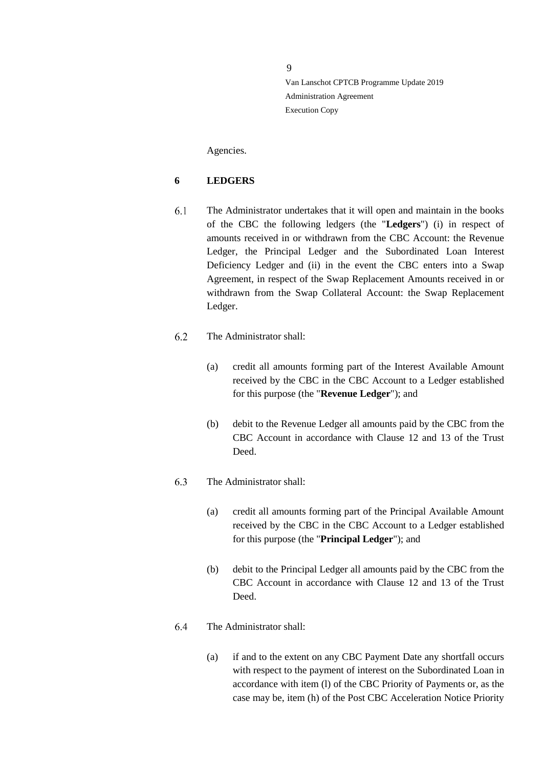Agencies.

## <span id="page-8-0"></span>**6 LEDGERS**

6.1 The Administrator undertakes that it will open and maintain in the books of the CBC the following ledgers (the "**Ledgers**") (i) in respect of amounts received in or withdrawn from the CBC Account: the Revenue Ledger, the Principal Ledger and the Subordinated Loan Interest Deficiency Ledger and (ii) in the event the CBC enters into a Swap Agreement, in respect of the Swap Replacement Amounts received in or withdrawn from the Swap Collateral Account: the Swap Replacement Ledger.

#### 6.2 The Administrator shall:

- (a) credit all amounts forming part of the Interest Available Amount received by the CBC in the CBC Account to a Ledger established for this purpose (the "**Revenue Ledger**"); and
- (b) debit to the Revenue Ledger all amounts paid by the CBC from the CBC Account in accordance with Clause 12 and 13 of the Trust Deed.

#### 6.3 The Administrator shall:

- (a) credit all amounts forming part of the Principal Available Amount received by the CBC in the CBC Account to a Ledger established for this purpose (the "**Principal Ledger**"); and
- (b) debit to the Principal Ledger all amounts paid by the CBC from the CBC Account in accordance with Clause 12 and 13 of the Trust Deed.

#### 6.4 The Administrator shall:

(a) if and to the extent on any CBC Payment Date any shortfall occurs with respect to the payment of interest on the Subordinated Loan in accordance with item (l) of the CBC Priority of Payments or, as the case may be, item (h) of the Post CBC Acceleration Notice Priority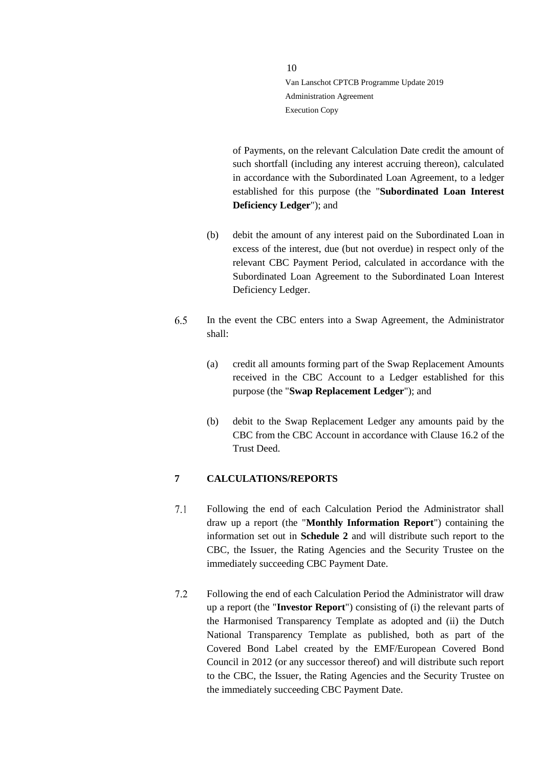of Payments, on the relevant Calculation Date credit the amount of such shortfall (including any interest accruing thereon), calculated in accordance with the Subordinated Loan Agreement, to a ledger established for this purpose (the "**Subordinated Loan Interest Deficiency Ledger**"); and

- (b) debit the amount of any interest paid on the Subordinated Loan in excess of the interest, due (but not overdue) in respect only of the relevant CBC Payment Period, calculated in accordance with the Subordinated Loan Agreement to the Subordinated Loan Interest Deficiency Ledger.
- 6.5 In the event the CBC enters into a Swap Agreement, the Administrator shall:
	- (a) credit all amounts forming part of the Swap Replacement Amounts received in the CBC Account to a Ledger established for this purpose (the "**Swap Replacement Ledger**"); and
	- (b) debit to the Swap Replacement Ledger any amounts paid by the CBC from the CBC Account in accordance with Clause 16.2 of the Trust Deed.

#### <span id="page-9-0"></span>**7 CALCULATIONS/REPORTS**

- $7.1$ Following the end of each Calculation Period the Administrator shall draw up a report (the "**Monthly Information Report**") containing the information set out in **Schedule 2** and will distribute such report to the CBC, the Issuer, the Rating Agencies and the Security Trustee on the immediately succeeding CBC Payment Date.
- $7.2$ Following the end of each Calculation Period the Administrator will draw up a report (the "**Investor Report**") consisting of (i) the relevant parts of the Harmonised Transparency Template as adopted and (ii) the Dutch National Transparency Template as published, both as part of the Covered Bond Label created by the EMF/European Covered Bond Council in 2012 (or any successor thereof) and will distribute such report to the CBC, the Issuer, the Rating Agencies and the Security Trustee on the immediately succeeding CBC Payment Date.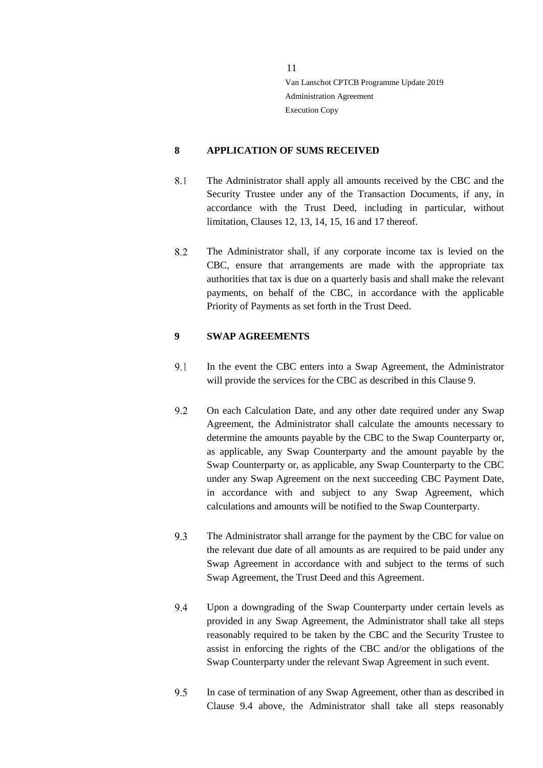## <span id="page-10-0"></span>**8 APPLICATION OF SUMS RECEIVED**

- 8.1 The Administrator shall apply all amounts received by the CBC and the Security Trustee under any of the Transaction Documents, if any, in accordance with the Trust Deed, including in particular, without limitation, Clauses 12, 13, 14, 15, 16 and 17 thereof.
- 8.2 The Administrator shall, if any corporate income tax is levied on the CBC, ensure that arrangements are made with the appropriate tax authorities that tax is due on a quarterly basis and shall make the relevant payments, on behalf of the CBC, in accordance with the applicable Priority of Payments as set forth in the Trust Deed.

## <span id="page-10-1"></span>**9 SWAP AGREEMENTS**

- $9.1$ In the event the CBC enters into a Swap Agreement, the Administrator will provide the services for the CBC as described in this Clause 9.
- 9.2 On each Calculation Date, and any other date required under any Swap Agreement, the Administrator shall calculate the amounts necessary to determine the amounts payable by the CBC to the Swap Counterparty or, as applicable, any Swap Counterparty and the amount payable by the Swap Counterparty or, as applicable, any Swap Counterparty to the CBC under any Swap Agreement on the next succeeding CBC Payment Date, in accordance with and subject to any Swap Agreement, which calculations and amounts will be notified to the Swap Counterparty.
- 9.3 The Administrator shall arrange for the payment by the CBC for value on the relevant due date of all amounts as are required to be paid under any Swap Agreement in accordance with and subject to the terms of such Swap Agreement, the Trust Deed and this Agreement.
- <span id="page-10-2"></span>Upon a downgrading of the Swap Counterparty under certain levels as 9.4 provided in any Swap Agreement, the Administrator shall take all steps reasonably required to be taken by the CBC and the Security Trustee to assist in enforcing the rights of the CBC and/or the obligations of the Swap Counterparty under the relevant Swap Agreement in such event.
- 9.5 In case of termination of any Swap Agreement, other than as described in Clause [9.4](#page-10-2) above, the Administrator shall take all steps reasonably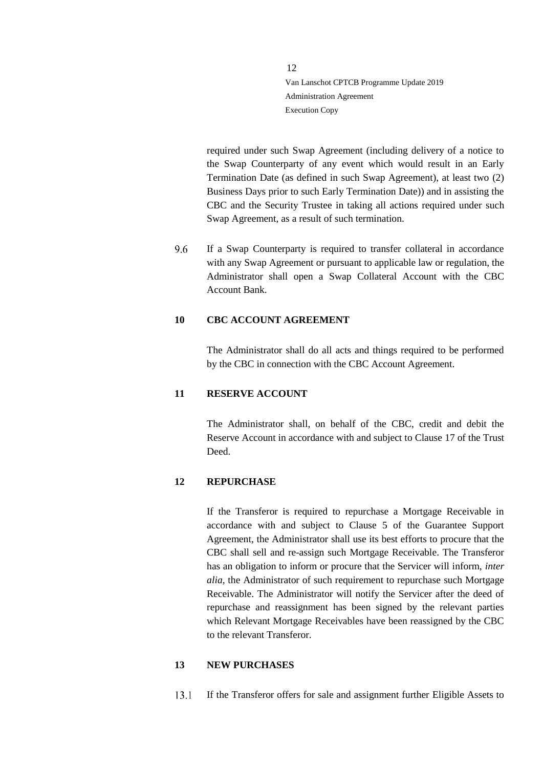required under such Swap Agreement (including delivery of a notice to the Swap Counterparty of any event which would result in an Early Termination Date (as defined in such Swap Agreement), at least two (2) Business Days prior to such Early Termination Date)) and in assisting the CBC and the Security Trustee in taking all actions required under such Swap Agreement, as a result of such termination.

If a Swap Counterparty is required to transfer collateral in accordance 96 with any Swap Agreement or pursuant to applicable law or regulation, the Administrator shall open a Swap Collateral Account with the CBC Account Bank.

#### <span id="page-11-0"></span>**10 CBC ACCOUNT AGREEMENT**

The Administrator shall do all acts and things required to be performed by the CBC in connection with the CBC Account Agreement.

#### <span id="page-11-1"></span>**11 RESERVE ACCOUNT**

The Administrator shall, on behalf of the CBC, credit and debit the Reserve Account in accordance with and subject to Clause 17 of the Trust Deed.

#### <span id="page-11-2"></span>**12 REPURCHASE**

If the Transferor is required to repurchase a Mortgage Receivable in accordance with and subject to Clause 5 of the Guarantee Support Agreement, the Administrator shall use its best efforts to procure that the CBC shall sell and re-assign such Mortgage Receivable. The Transferor has an obligation to inform or procure that the Servicer will inform, *inter alia*, the Administrator of such requirement to repurchase such Mortgage Receivable. The Administrator will notify the Servicer after the deed of repurchase and reassignment has been signed by the relevant parties which Relevant Mortgage Receivables have been reassigned by the CBC to the relevant Transferor.

#### <span id="page-11-3"></span>**13 NEW PURCHASES**

 $13.1$ If the Transferor offers for sale and assignment further Eligible Assets to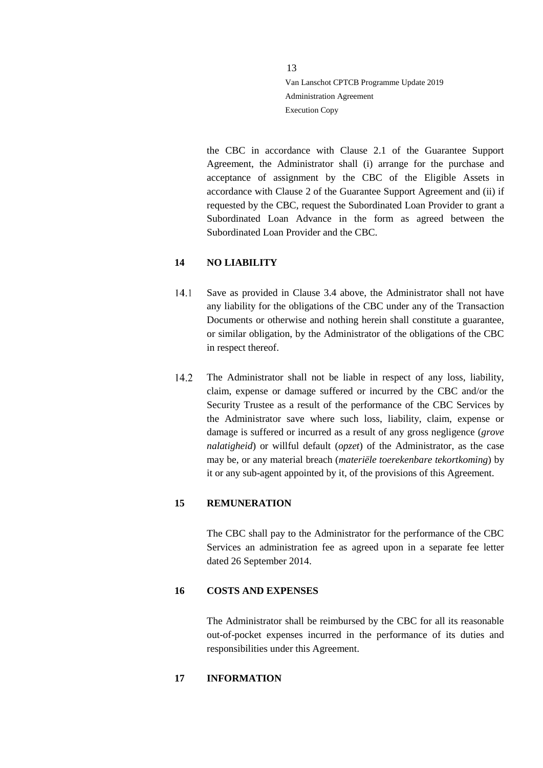the CBC in accordance with Clause 2.1 of the Guarantee Support Agreement, the Administrator shall (i) arrange for the purchase and acceptance of assignment by the CBC of the Eligible Assets in accordance with Clause 2 of the Guarantee Support Agreement and (ii) if requested by the CBC, request the Subordinated Loan Provider to grant a Subordinated Loan Advance in the form as agreed between the Subordinated Loan Provider and the CBC.

#### <span id="page-12-0"></span>**14 NO LIABILITY**

- $14.1$ Save as provided in Clause [3.4](#page-4-1) above, the Administrator shall not have any liability for the obligations of the CBC under any of the Transaction Documents or otherwise and nothing herein shall constitute a guarantee, or similar obligation, by the Administrator of the obligations of the CBC in respect thereof.
- 14.2 The Administrator shall not be liable in respect of any loss, liability, claim, expense or damage suffered or incurred by the CBC and/or the Security Trustee as a result of the performance of the CBC Services by the Administrator save where such loss, liability, claim, expense or damage is suffered or incurred as a result of any gross negligence (*grove nalatigheid*) or willful default (*opzet*) of the Administrator, as the case may be, or any material breach (*materiële toerekenbare tekortkoming*) by it or any sub-agent appointed by it, of the provisions of this Agreement.

## <span id="page-12-1"></span>**15 REMUNERATION**

The CBC shall pay to the Administrator for the performance of the CBC Services an administration fee as agreed upon in a separate fee letter dated 26 September 2014.

#### <span id="page-12-2"></span>**16 COSTS AND EXPENSES**

The Administrator shall be reimbursed by the CBC for all its reasonable out-of-pocket expenses incurred in the performance of its duties and responsibilities under this Agreement.

#### <span id="page-12-3"></span>**17 INFORMATION**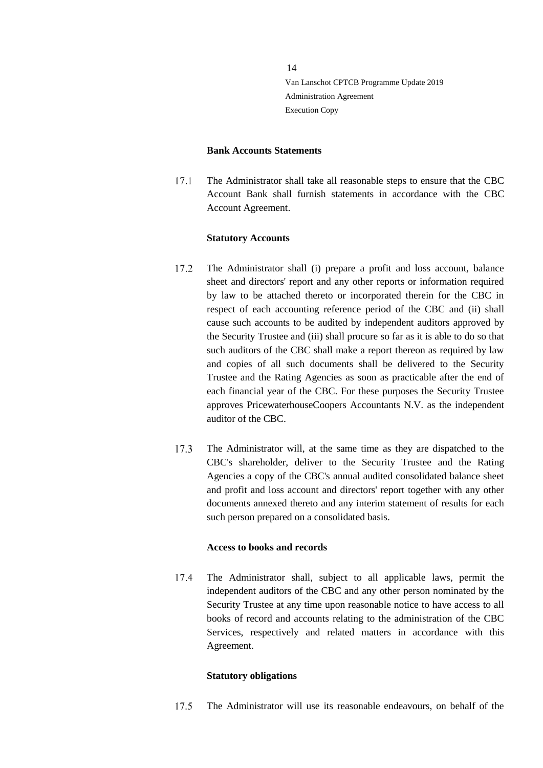#### **Bank Accounts Statements**

 $17.1$ The Administrator shall take all reasonable steps to ensure that the CBC Account Bank shall furnish statements in accordance with the CBC Account Agreement.

#### **Statutory Accounts**

- $17.2$ The Administrator shall (i) prepare a profit and loss account, balance sheet and directors' report and any other reports or information required by law to be attached thereto or incorporated therein for the CBC in respect of each accounting reference period of the CBC and (ii) shall cause such accounts to be audited by independent auditors approved by the Security Trustee and (iii) shall procure so far as it is able to do so that such auditors of the CBC shall make a report thereon as required by law and copies of all such documents shall be delivered to the Security Trustee and the Rating Agencies as soon as practicable after the end of each financial year of the CBC. For these purposes the Security Trustee approves PricewaterhouseCoopers Accountants N.V. as the independent auditor of the CBC.
- 17.3 The Administrator will, at the same time as they are dispatched to the CBC's shareholder, deliver to the Security Trustee and the Rating Agencies a copy of the CBC's annual audited consolidated balance sheet and profit and loss account and directors' report together with any other documents annexed thereto and any interim statement of results for each such person prepared on a consolidated basis.

#### **Access to books and records**

 $17.4$ The Administrator shall, subject to all applicable laws, permit the independent auditors of the CBC and any other person nominated by the Security Trustee at any time upon reasonable notice to have access to all books of record and accounts relating to the administration of the CBC Services, respectively and related matters in accordance with this Agreement.

#### **Statutory obligations**

17.5 The Administrator will use its reasonable endeavours, on behalf of the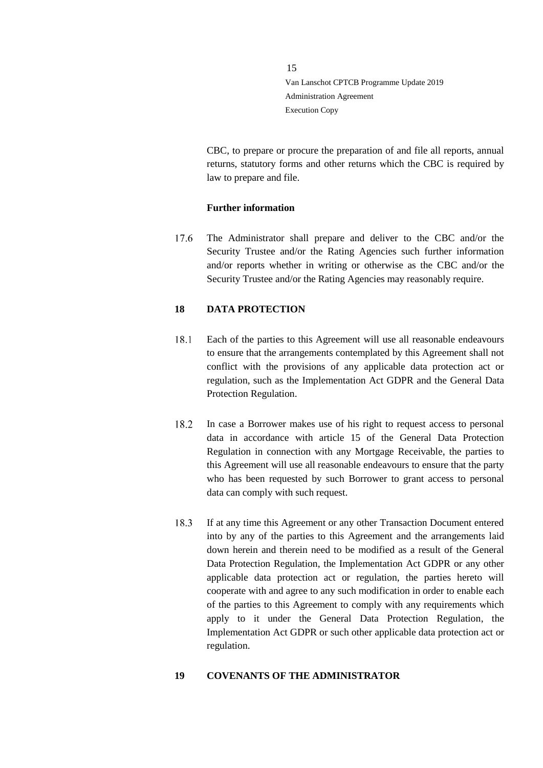CBC, to prepare or procure the preparation of and file all reports, annual returns, statutory forms and other returns which the CBC is required by law to prepare and file.

#### **Further information**

17.6 The Administrator shall prepare and deliver to the CBC and/or the Security Trustee and/or the Rating Agencies such further information and/or reports whether in writing or otherwise as the CBC and/or the Security Trustee and/or the Rating Agencies may reasonably require.

## <span id="page-14-0"></span>**18 DATA PROTECTION**

- 18.1 Each of the parties to this Agreement will use all reasonable endeavours to ensure that the arrangements contemplated by this Agreement shall not conflict with the provisions of any applicable data protection act or regulation, such as the Implementation Act GDPR and the General Data Protection Regulation.
- 18.2 In case a Borrower makes use of his right to request access to personal data in accordance with article 15 of the General Data Protection Regulation in connection with any Mortgage Receivable, the parties to this Agreement will use all reasonable endeavours to ensure that the party who has been requested by such Borrower to grant access to personal data can comply with such request.
- 18.3 If at any time this Agreement or any other Transaction Document entered into by any of the parties to this Agreement and the arrangements laid down herein and therein need to be modified as a result of the General Data Protection Regulation, the Implementation Act GDPR or any other applicable data protection act or regulation, the parties hereto will cooperate with and agree to any such modification in order to enable each of the parties to this Agreement to comply with any requirements which apply to it under the General Data Protection Regulation, the Implementation Act GDPR or such other applicable data protection act or regulation.

#### <span id="page-14-1"></span>**19 COVENANTS OF THE ADMINISTRATOR**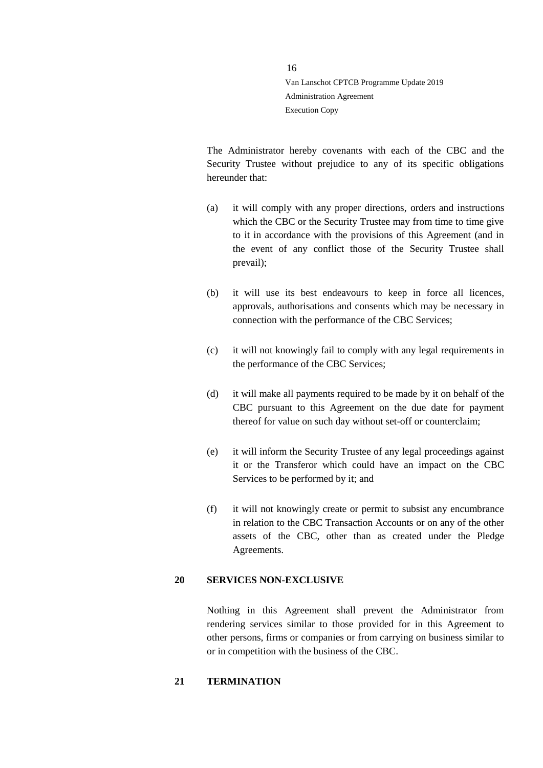The Administrator hereby covenants with each of the CBC and the Security Trustee without prejudice to any of its specific obligations hereunder that:

- (a) it will comply with any proper directions, orders and instructions which the CBC or the Security Trustee may from time to time give to it in accordance with the provisions of this Agreement (and in the event of any conflict those of the Security Trustee shall prevail);
- (b) it will use its best endeavours to keep in force all licences, approvals, authorisations and consents which may be necessary in connection with the performance of the CBC Services;
- (c) it will not knowingly fail to comply with any legal requirements in the performance of the CBC Services;
- (d) it will make all payments required to be made by it on behalf of the CBC pursuant to this Agreement on the due date for payment thereof for value on such day without set-off or counterclaim;
- (e) it will inform the Security Trustee of any legal proceedings against it or the Transferor which could have an impact on the CBC Services to be performed by it; and
- (f) it will not knowingly create or permit to subsist any encumbrance in relation to the CBC Transaction Accounts or on any of the other assets of the CBC, other than as created under the Pledge Agreements.

#### <span id="page-15-0"></span>**20 SERVICES NON-EXCLUSIVE**

Nothing in this Agreement shall prevent the Administrator from rendering services similar to those provided for in this Agreement to other persons, firms or companies or from carrying on business similar to or in competition with the business of the CBC.

#### <span id="page-15-1"></span>**21 TERMINATION**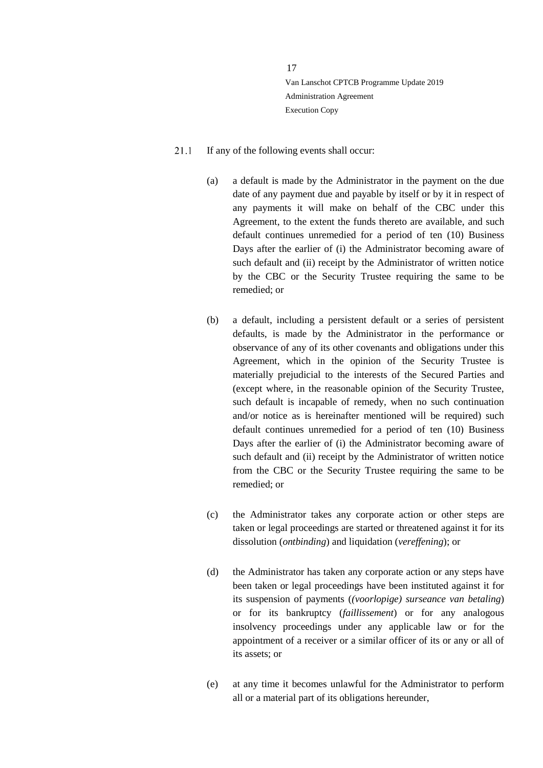- <span id="page-16-1"></span><span id="page-16-0"></span>21.1 If any of the following events shall occur:
	- (a) a default is made by the Administrator in the payment on the due date of any payment due and payable by itself or by it in respect of any payments it will make on behalf of the CBC under this Agreement, to the extent the funds thereto are available, and such default continues unremedied for a period of ten (10) Business Days after the earlier of (i) the Administrator becoming aware of such default and (ii) receipt by the Administrator of written notice by the CBC or the Security Trustee requiring the same to be remedied; or
	- (b) a default, including a persistent default or a series of persistent defaults, is made by the Administrator in the performance or observance of any of its other covenants and obligations under this Agreement, which in the opinion of the Security Trustee is materially prejudicial to the interests of the Secured Parties and (except where, in the reasonable opinion of the Security Trustee, such default is incapable of remedy, when no such continuation and/or notice as is hereinafter mentioned will be required) such default continues unremedied for a period of ten (10) Business Days after the earlier of (i) the Administrator becoming aware of such default and (ii) receipt by the Administrator of written notice from the CBC or the Security Trustee requiring the same to be remedied; or
	- (c) the Administrator takes any corporate action or other steps are taken or legal proceedings are started or threatened against it for its dissolution (*ontbinding*) and liquidation (*vereffening*); or
	- (d) the Administrator has taken any corporate action or any steps have been taken or legal proceedings have been instituted against it for its suspension of payments (*(voorlopige) surseance van betaling*) or for its bankruptcy (*faillissement*) or for any analogous insolvency proceedings under any applicable law or for the appointment of a receiver or a similar officer of its or any or all of its assets; or
	- (e) at any time it becomes unlawful for the Administrator to perform all or a material part of its obligations hereunder,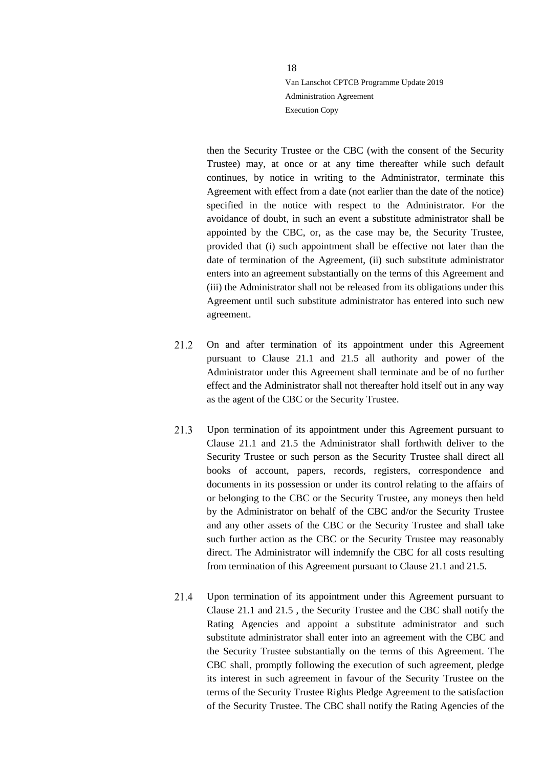then the Security Trustee or the CBC (with the consent of the Security Trustee) may, at once or at any time thereafter while such default continues, by notice in writing to the Administrator, terminate this Agreement with effect from a date (not earlier than the date of the notice) specified in the notice with respect to the Administrator. For the avoidance of doubt, in such an event a substitute administrator shall be appointed by the CBC, or, as the case may be, the Security Trustee, provided that (i) such appointment shall be effective not later than the date of termination of the Agreement, (ii) such substitute administrator enters into an agreement substantially on the terms of this Agreement and (iii) the Administrator shall not be released from its obligations under this Agreement until such substitute administrator has entered into such new agreement.

- 21.2 On and after termination of its appointment under this Agreement pursuant to Clause [21.1](#page-16-0) and [21.5](#page-18-0) all authority and power of the Administrator under this Agreement shall terminate and be of no further effect and the Administrator shall not thereafter hold itself out in any way as the agent of the CBC or the Security Trustee.
- $21.3$ Upon termination of its appointment under this Agreement pursuant to Clause [21.1](#page-16-0) and [21.5](#page-18-0) the Administrator shall forthwith deliver to the Security Trustee or such person as the Security Trustee shall direct all books of account, papers, records, registers, correspondence and documents in its possession or under its control relating to the affairs of or belonging to the CBC or the Security Trustee, any moneys then held by the Administrator on behalf of the CBC and/or the Security Trustee and any other assets of the CBC or the Security Trustee and shall take such further action as the CBC or the Security Trustee may reasonably direct. The Administrator will indemnify the CBC for all costs resulting from termination of this Agreement pursuant to Clause [21.1](#page-16-0) and [21.5.](#page-18-0)
- $21.4$ Upon termination of its appointment under this Agreement pursuant to Clause [21.1](#page-16-0) and 21.5 , the Security Trustee and the CBC shall notify the Rating Agencies and appoint a substitute administrator and such substitute administrator shall enter into an agreement with the CBC and the Security Trustee substantially on the terms of this Agreement. The CBC shall, promptly following the execution of such agreement, pledge its interest in such agreement in favour of the Security Trustee on the terms of the Security Trustee Rights Pledge Agreement to the satisfaction of the Security Trustee. The CBC shall notify the Rating Agencies of the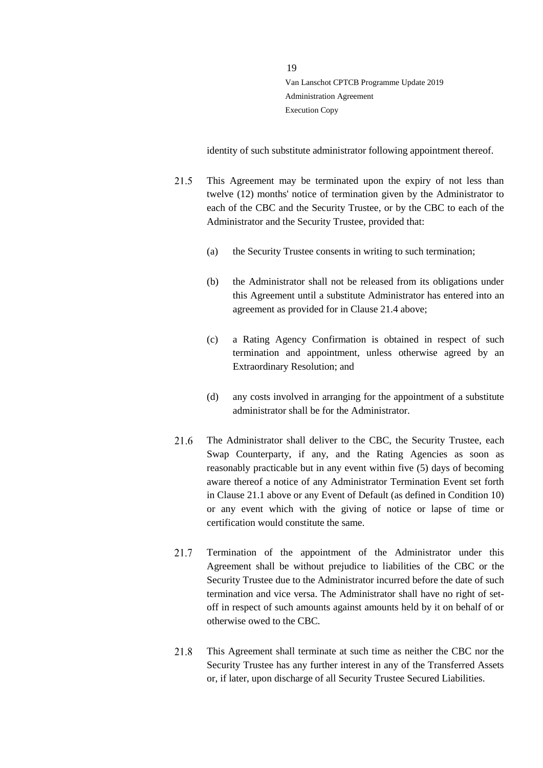identity of such substitute administrator following appointment thereof.

- <span id="page-18-1"></span><span id="page-18-0"></span>21.5 This Agreement may be terminated upon the expiry of not less than twelve (12) months' notice of termination given by the Administrator to each of the CBC and the Security Trustee, or by the CBC to each of the Administrator and the Security Trustee, provided that:
	- (a) the Security Trustee consents in writing to such termination;
	- (b) the Administrator shall not be released from its obligations under this Agreement until a substitute Administrator has entered into an agreement as provided for in Clause 21.4 above;
	- (c) a Rating Agency Confirmation is obtained in respect of such termination and appointment, unless otherwise agreed by an Extraordinary Resolution; and
	- (d) any costs involved in arranging for the appointment of a substitute administrator shall be for the Administrator.
- The Administrator shall deliver to the CBC, the Security Trustee, each 21.6 Swap Counterparty, if any, and the Rating Agencies as soon as reasonably practicable but in any event within five (5) days of becoming aware thereof a notice of any Administrator Termination Event set forth in Clause [21.1](#page-16-0) above or any Event of Default (as defined in Condition 10) or any event which with the giving of notice or lapse of time or certification would constitute the same.
- 21.7 Termination of the appointment of the Administrator under this Agreement shall be without prejudice to liabilities of the CBC or the Security Trustee due to the Administrator incurred before the date of such termination and vice versa. The Administrator shall have no right of setoff in respect of such amounts against amounts held by it on behalf of or otherwise owed to the CBC.
- 21.8 This Agreement shall terminate at such time as neither the CBC nor the Security Trustee has any further interest in any of the Transferred Assets or, if later, upon discharge of all Security Trustee Secured Liabilities.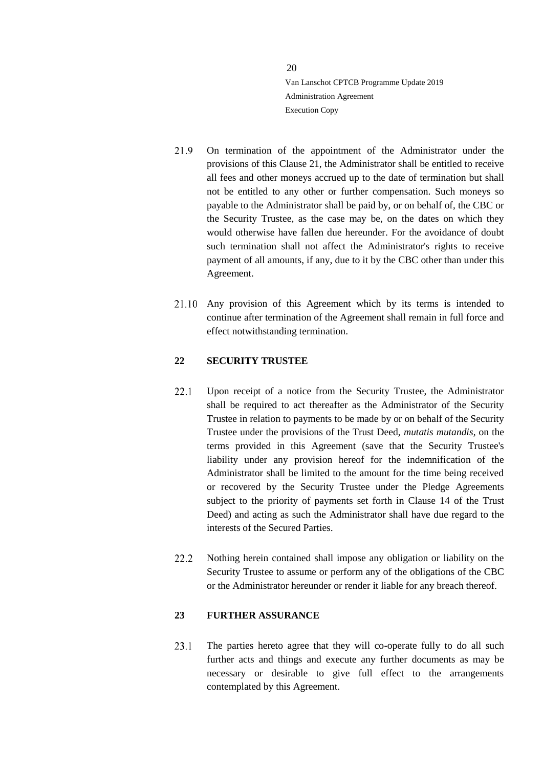- 21.9 On termination of the appointment of the Administrator under the provisions of this Clause [21,](#page-15-1) the Administrator shall be entitled to receive all fees and other moneys accrued up to the date of termination but shall not be entitled to any other or further compensation. Such moneys so payable to the Administrator shall be paid by, or on behalf of, the CBC or the Security Trustee, as the case may be, on the dates on which they would otherwise have fallen due hereunder. For the avoidance of doubt such termination shall not affect the Administrator's rights to receive payment of all amounts, if any, due to it by the CBC other than under this Agreement.
- Any provision of this Agreement which by its terms is intended to continue after termination of the Agreement shall remain in full force and effect notwithstanding termination.

#### <span id="page-19-0"></span>**22 SECURITY TRUSTEE**

- $22.1$ Upon receipt of a notice from the Security Trustee, the Administrator shall be required to act thereafter as the Administrator of the Security Trustee in relation to payments to be made by or on behalf of the Security Trustee under the provisions of the Trust Deed, *mutatis mutandis*, on the terms provided in this Agreement (save that the Security Trustee's liability under any provision hereof for the indemnification of the Administrator shall be limited to the amount for the time being received or recovered by the Security Trustee under the Pledge Agreements subject to the priority of payments set forth in Clause 14 of the Trust Deed) and acting as such the Administrator shall have due regard to the interests of the Secured Parties.
- $22.2$ Nothing herein contained shall impose any obligation or liability on the Security Trustee to assume or perform any of the obligations of the CBC or the Administrator hereunder or render it liable for any breach thereof.

# <span id="page-19-1"></span>**23 FURTHER ASSURANCE**

<span id="page-19-2"></span>The parties hereto agree that they will co-operate fully to do all such  $23.1$ further acts and things and execute any further documents as may be necessary or desirable to give full effect to the arrangements contemplated by this Agreement.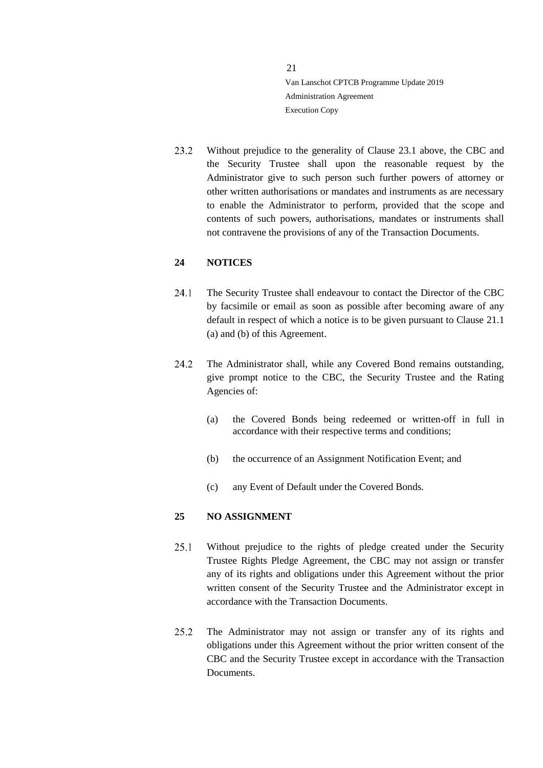$23.2$ Without prejudice to the generality of Clause [23.1](#page-19-2) above, the CBC and the Security Trustee shall upon the reasonable request by the Administrator give to such person such further powers of attorney or other written authorisations or mandates and instruments as are necessary to enable the Administrator to perform, provided that the scope and contents of such powers, authorisations, mandates or instruments shall not contravene the provisions of any of the Transaction Documents.

#### <span id="page-20-0"></span>**24 NOTICES**

- $24.1$ The Security Trustee shall endeavour to contact the Director of the CBC by facsimile or email as soon as possible after becoming aware of any default in respect of which a notice is to be given pursuant to Clause [21.1](#page-16-0) [\(a\)](#page-18-1) and [\(b\)](#page-16-1) of this Agreement.
- 24.2 The Administrator shall, while any Covered Bond remains outstanding, give prompt notice to the CBC, the Security Trustee and the Rating Agencies of:
	- (a) the Covered Bonds being redeemed or written-off in full in accordance with their respective terms and conditions;
	- (b) the occurrence of an Assignment Notification Event; and
	- (c) any Event of Default under the Covered Bonds.

# <span id="page-20-1"></span>**25 NO ASSIGNMENT**

- $25.1$ Without prejudice to the rights of pledge created under the Security Trustee Rights Pledge Agreement, the CBC may not assign or transfer any of its rights and obligations under this Agreement without the prior written consent of the Security Trustee and the Administrator except in accordance with the Transaction Documents.
- 25.2 The Administrator may not assign or transfer any of its rights and obligations under this Agreement without the prior written consent of the CBC and the Security Trustee except in accordance with the Transaction Documents.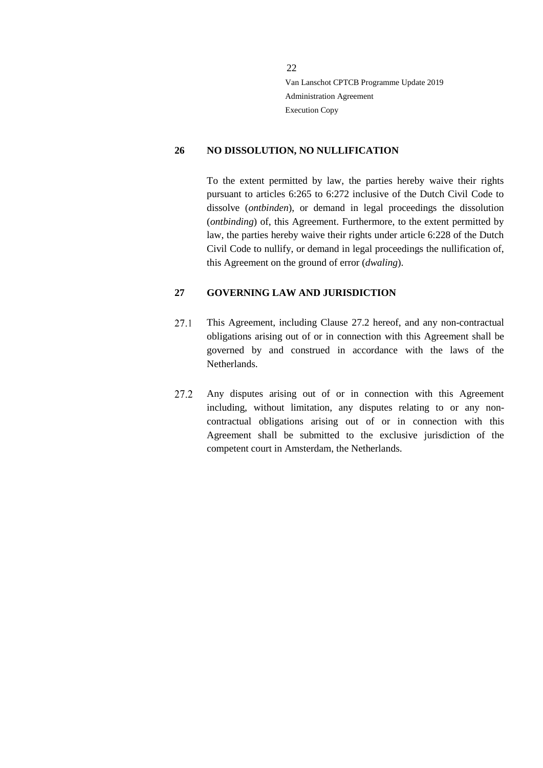#### <span id="page-21-0"></span>**26 NO DISSOLUTION, NO NULLIFICATION**

To the extent permitted by law, the parties hereby waive their rights pursuant to articles 6:265 to 6:272 inclusive of the Dutch Civil Code to dissolve (*ontbinden*), or demand in legal proceedings the dissolution (*ontbinding*) of, this Agreement. Furthermore, to the extent permitted by law, the parties hereby waive their rights under article 6:228 of the Dutch Civil Code to nullify, or demand in legal proceedings the nullification of, this Agreement on the ground of error (*dwaling*).

#### <span id="page-21-1"></span>**27 GOVERNING LAW AND JURISDICTION**

- 27.1 This Agreement, including Clause [27.2](#page-21-2) hereof, and any non-contractual obligations arising out of or in connection with this Agreement shall be governed by and construed in accordance with the laws of the Netherlands.
- <span id="page-21-2"></span>27.2 Any disputes arising out of or in connection with this Agreement including, without limitation, any disputes relating to or any noncontractual obligations arising out of or in connection with this Agreement shall be submitted to the exclusive jurisdiction of the competent court in Amsterdam, the Netherlands.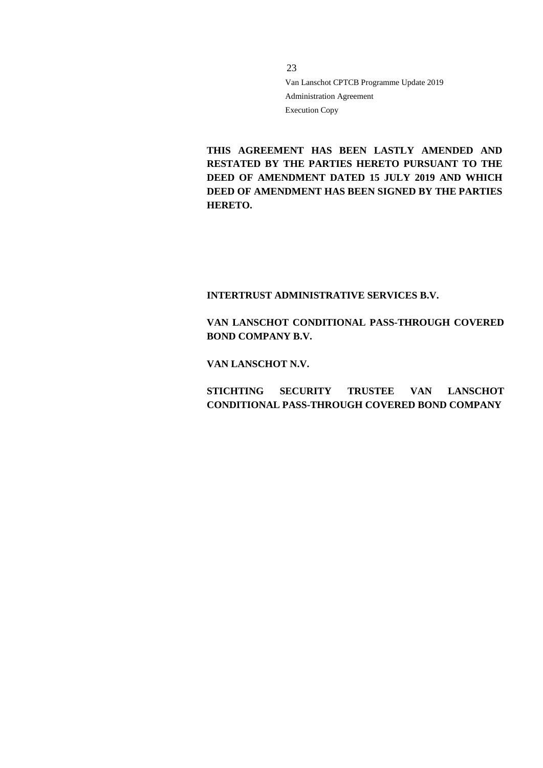**THIS AGREEMENT HAS BEEN LASTLY AMENDED AND RESTATED BY THE PARTIES HERETO PURSUANT TO THE DEED OF AMENDMENT DATED 15 JULY 2019 AND WHICH DEED OF AMENDMENT HAS BEEN SIGNED BY THE PARTIES HERETO.** 

# **INTERTRUST ADMINISTRATIVE SERVICES B.V.**

# **VAN LANSCHOT CONDITIONAL PASS-THROUGH COVERED BOND COMPANY B.V.**

#### **VAN LANSCHOT N.V.**

**STICHTING SECURITY TRUSTEE VAN LANSCHOT CONDITIONAL PASS-THROUGH COVERED BOND COMPANY**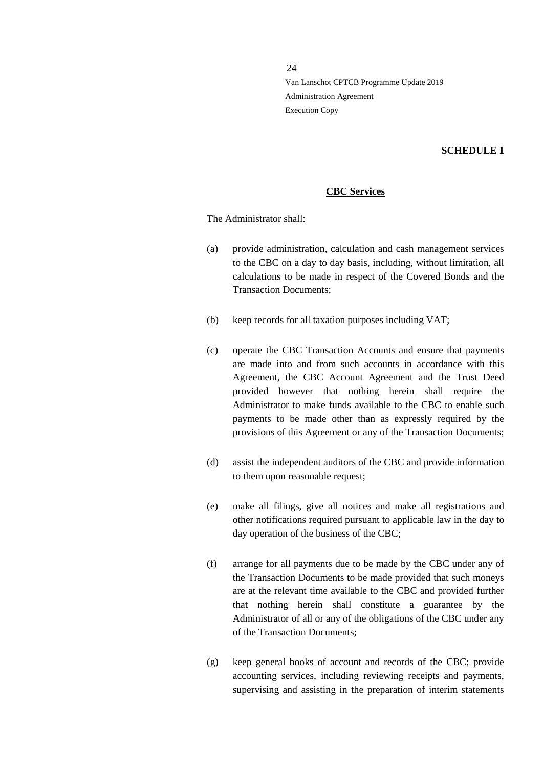#### **SCHEDULE 1**

## **CBC Services**

The Administrator shall:

- (a) provide administration, calculation and cash management services to the CBC on a day to day basis, including, without limitation, all calculations to be made in respect of the Covered Bonds and the Transaction Documents;
- (b) keep records for all taxation purposes including VAT;
- (c) operate the CBC Transaction Accounts and ensure that payments are made into and from such accounts in accordance with this Agreement, the CBC Account Agreement and the Trust Deed provided however that nothing herein shall require the Administrator to make funds available to the CBC to enable such payments to be made other than as expressly required by the provisions of this Agreement or any of the Transaction Documents;
- (d) assist the independent auditors of the CBC and provide information to them upon reasonable request;
- (e) make all filings, give all notices and make all registrations and other notifications required pursuant to applicable law in the day to day operation of the business of the CBC;
- (f) arrange for all payments due to be made by the CBC under any of the Transaction Documents to be made provided that such moneys are at the relevant time available to the CBC and provided further that nothing herein shall constitute a guarantee by the Administrator of all or any of the obligations of the CBC under any of the Transaction Documents;
- (g) keep general books of account and records of the CBC; provide accounting services, including reviewing receipts and payments, supervising and assisting in the preparation of interim statements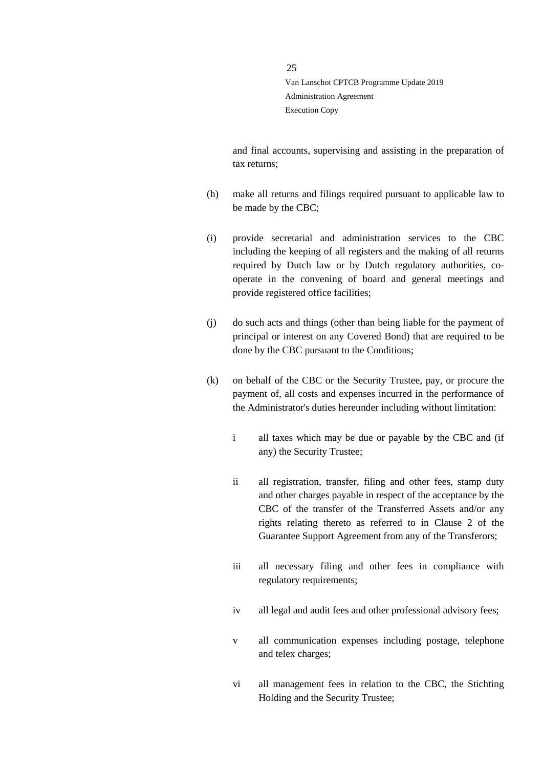and final accounts, supervising and assisting in the preparation of tax returns;

- (h) make all returns and filings required pursuant to applicable law to be made by the CBC;
- (i) provide secretarial and administration services to the CBC including the keeping of all registers and the making of all returns required by Dutch law or by Dutch regulatory authorities, cooperate in the convening of board and general meetings and provide registered office facilities;
- (j) do such acts and things (other than being liable for the payment of principal or interest on any Covered Bond) that are required to be done by the CBC pursuant to the Conditions;
- (k) on behalf of the CBC or the Security Trustee, pay, or procure the payment of, all costs and expenses incurred in the performance of the Administrator's duties hereunder including without limitation:
	- i all taxes which may be due or payable by the CBC and (if any) the Security Trustee;
	- ii all registration, transfer, filing and other fees, stamp duty and other charges payable in respect of the acceptance by the CBC of the transfer of the Transferred Assets and/or any rights relating thereto as referred to in Clause 2 of the Guarantee Support Agreement from any of the Transferors;
	- iii all necessary filing and other fees in compliance with regulatory requirements;
	- iv all legal and audit fees and other professional advisory fees;
	- v all communication expenses including postage, telephone and telex charges;
	- vi all management fees in relation to the CBC, the Stichting Holding and the Security Trustee;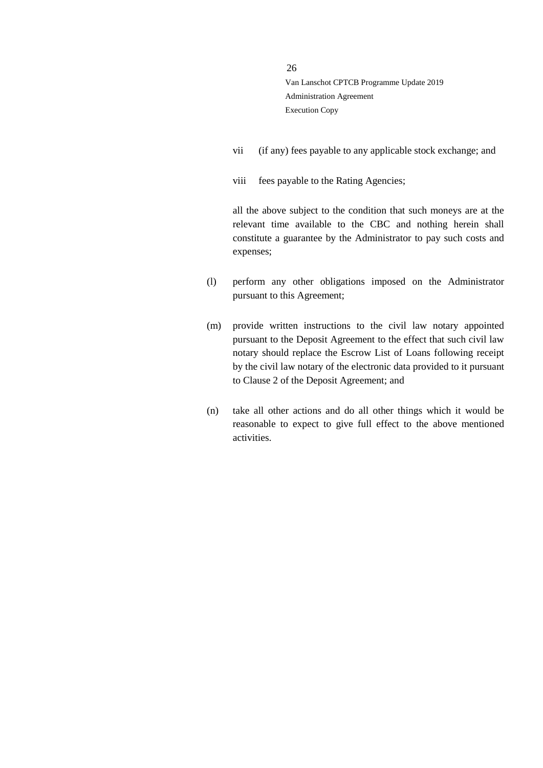- vii (if any) fees payable to any applicable stock exchange; and
- viii fees payable to the Rating Agencies;

all the above subject to the condition that such moneys are at the relevant time available to the CBC and nothing herein shall constitute a guarantee by the Administrator to pay such costs and expenses;

- (l) perform any other obligations imposed on the Administrator pursuant to this Agreement;
- (m) provide written instructions to the civil law notary appointed pursuant to the Deposit Agreement to the effect that such civil law notary should replace the Escrow List of Loans following receipt by the civil law notary of the electronic data provided to it pursuant to Clause 2 of the Deposit Agreement; and
- (n) take all other actions and do all other things which it would be reasonable to expect to give full effect to the above mentioned activities.